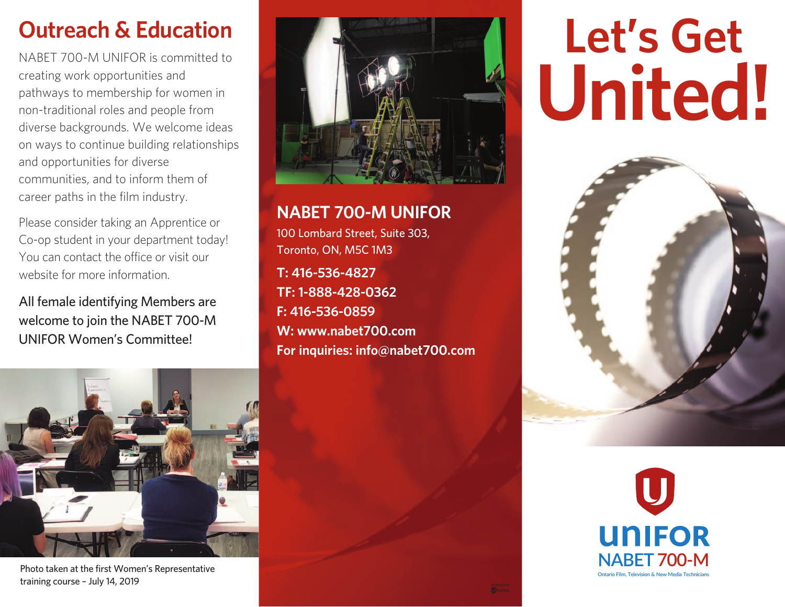## **Outreach & Education**

NABET 700-M UNIFOR is committed to creating work opportunities and pathways to membership for women in non-traditional roles and people from diverse backgrounds. We welcome ideas on ways to continue building relationships and opportunities for diverse communities, and to inform them of career paths in the film industry.

Please consider taking an Apprentice or Co-op student in your department today! You can contact the office or visit our website for more information.

All female identifying Members are welcome to join the NABET 700-M UNIFOR Women's Committee!



Photo taken at the first Women's Representative training course – July 14, 2019



**NABET 700-M UNIFOR** 100 Lombard Street, Suite 303, Toronto, ON, M5C 1M3

**T: 416-536-4827 TF: 1-888-428-0362 F: 416-536-0859 W: www.nabet700.com For inquiries: info@nabet700.com**

# **Let's Get United!**